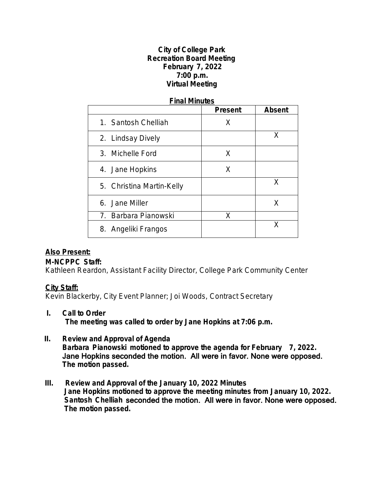### **City of College Park Recreation Board Meeting February 7, 2022 7:00 p.m. Virtual Meeting**

#### **Final Minutes**

|                           | <b>Present</b> | <b>Absent</b> |
|---------------------------|----------------|---------------|
| 1. Santosh Chelliah       | X              |               |
| 2. Lindsay Dively         |                | X             |
| 3. Michelle Ford          | X              |               |
| 4. Jane Hopkins           | X              |               |
| 5. Christina Martin-Kelly |                | X             |
| 6. Jane Miller            |                | X             |
| 7. Barbara Pianowski      | X              |               |
| 8. Angeliki Frangos       |                | x             |

# **Also Present:**

### **M-NCPPC Staff:**

Kathleen Reardon, Assistant Facility Director, College Park Community Center

# **City Staff:**

Kevin Blackerby, City Event Planner; Joi Woods, Contract Secretary

### **I. Call to Order The meeting was called to order by Jane Hopkins at 7:06 p.m.**

- **II. Review and Approval of Agenda Barbara Pianowski motioned to approve the agenda for February 7, 2022.** Jane Hopkins seconded the motion. All were in favor. None were opposed. **The motion passed.**
- **III. Review and Approval of the January 10, 2022 Minutes Jane Hopkins motioned to approve the meeting minutes from January 10, 2022. Santosh Chelliah** seconded the motion. All were in favor. None were opposed. **The motion passed.**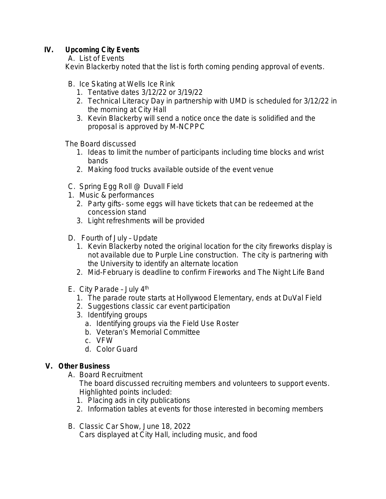# **IV. Upcoming City Events**

A. List of Events

Kevin Blackerby noted that the list is forth coming pending approval of events.

- B. Ice Skating at Wells Ice Rink
	- 1. Tentative dates 3/12/22 or 3/19/22
	- 2. Technical Literacy Day in partnership with UMD is scheduled for 3/12/22 in the morning at City Hall
	- 3. Kevin Blackerby will send a notice once the date is solidified and the proposal is approved by M-NCPPC

The Board discussed

- 1. Ideas to limit the number of participants including time blocks and wrist bands
- 2. Making food trucks available outside of the event venue
- C. Spring Egg Roll @ Duvall Field
- 1. Music & performances
	- 2. Party gifts- some eggs will have tickets that can be redeemed at the concession stand
	- 3. Light refreshments will be provided
- D. Fourth of July Update
	- 1. Kevin Blackerby noted the original location for the city fireworks display is not available due to Purple Line construction. The city is partnering with the University to identify an alternate location
	- 2. Mid-February is deadline to confirm Fireworks and *The Night Life Band*
- E. City Parade July 4th
	- 1. The parade route starts at Hollywood Elementary, ends at DuVal Field
	- 2. Suggestions classic car event participation
	- 3. Identifying groups
		- a. Identifying groups via the Field Use Roster
		- b. Veteran's Memorial Committee
		- c. VFW
		- d. Color Guard

# **V. Other Business**

A. Board Recruitment

The board discussed recruiting members and volunteers to support events. Highlighted points included:

- 1. Placing ads in city publications
- 2. Information tables at events for those interested in becoming members
- B. Classic Car Show, June 18, 2022 Cars displayed at City Hall, including music, and food